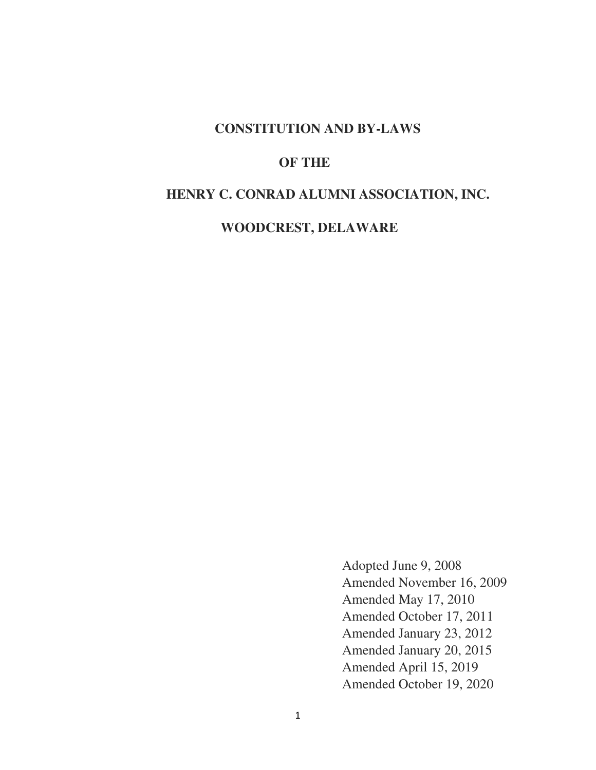### **CONSTITUTION AND BY-LAWS**

### **OF THE**

## **HENRY C. CONRAD ALUMNI ASSOCIATION, INC.**

 **WOODCREST, DELAWARE** 

Adopted June 9, 2008 Amended November 16, 2009 Amended May 17, 2010 Amended October 17, 2011 Amended January 23, 2012 Amended January 20, 2015 Amended April 15, 2019 Amended October 19, 2020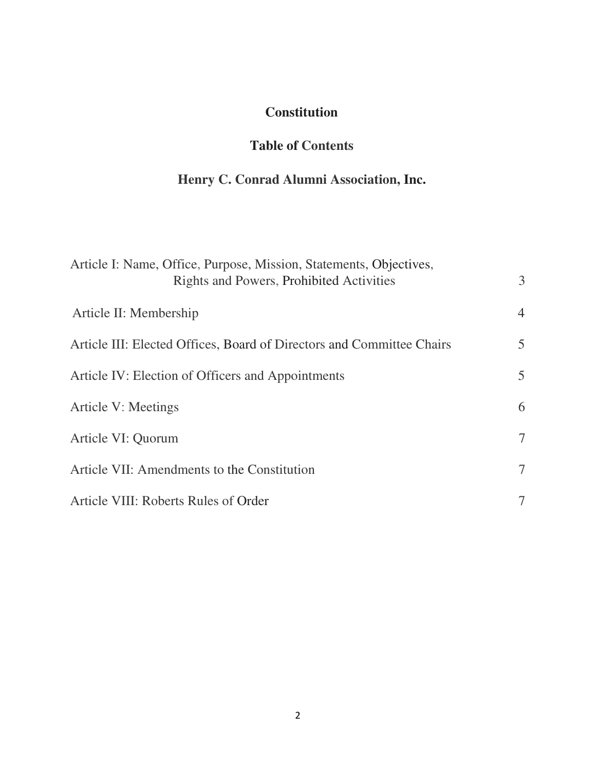# **Constitution**

# **Table of Contents**

# **Henry C. Conrad Alumni Association, Inc.**

| Article I: Name, Office, Purpose, Mission, Statements, Objectives,<br>Rights and Powers, Prohibited Activities | 3              |
|----------------------------------------------------------------------------------------------------------------|----------------|
| Article II: Membership                                                                                         | $\overline{4}$ |
| Article III: Elected Offices, Board of Directors and Committee Chairs                                          | $5^{\circ}$    |
| Article IV: Election of Officers and Appointments                                                              | $5^{\circ}$    |
| <b>Article V: Meetings</b>                                                                                     | 6              |
| Article VI: Quorum                                                                                             | $\tau$         |
| Article VII: Amendments to the Constitution                                                                    | $\tau$         |
| Article VIII: Roberts Rules of Order                                                                           |                |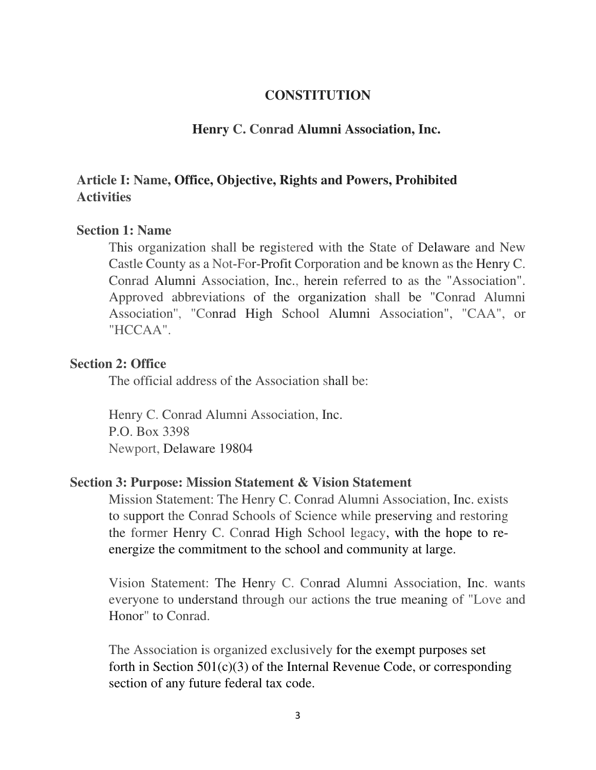#### **CONSTITUTION**

#### **Henry C. Conrad Alumni Association, Inc.**

# **Article I: Name, Office, Objective, Rights and Powers, Prohibited Activities**

#### **Section 1: Name**

This organization shall be registered with the State of Delaware and New Castle County as a Not-For-Profit Corporation and be known as the Henry C. Conrad Alumni Association, Inc., herein referred to as the "Association". Approved abbreviations of the organization shall be "Conrad Alumni Association'', "Conrad High School Alumni Association", "CAA", or "HCCAA".

#### **Section 2: Office**

The official address of the Association shall be:

Henry C. Conrad Alumni Association, Inc. P.O. Box 3398 Newport, Delaware 19804

#### **Section 3: Purpose: Mission Statement & Vision Statement**

Mission Statement: The Henry C. Conrad Alumni Association, Inc. exists to support the Conrad Schools of Science while preserving and restoring the former Henry C. Conrad High School legacy, with the hope to reenergize the commitment to the school and community at large.

Vision Statement: The Henry C. Conrad Alumni Association, Inc. wants everyone to understand through our actions the true meaning of "Love and Honor" to Conrad.

The Association is organized exclusively for the exempt purposes set forth in Section  $501(c)(3)$  of the Internal Revenue Code, or corresponding section of any future federal tax code.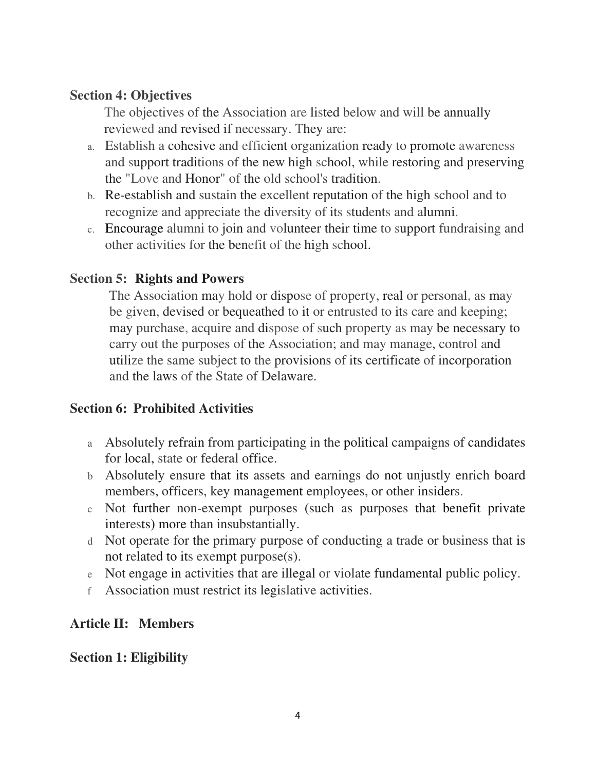# **Section 4: Objectives**

The objectives of the Association are listed below and will be annually reviewed and revised if necessary. They are:

- a. Establish a cohesive and efficient organization ready to promote awareness and support traditions of the new high school, while restoring and preserving the "Love and Honor" of the old school's tradition.
- b. Re-establish and sustain the excellent reputation of the high school and to recognize and appreciate the diversity of its students and alumni.
- c. Encourage alumni to join and volunteer their time to support fundraising and other activities for the benefit of the high school.

# **Section 5: Rights and Powers**

The Association may hold or dispose of property, real or personal, as may be given, devised or bequeathed to it or entrusted to its care and keeping; may purchase, acquire and dispose of such property as may be necessary to carry out the purposes of the Association; and may manage, control and utilize the same subject to the provisions of its certificate of incorporation and the laws of the State of Delaware.

# **Section 6: Prohibited Activities**

- a Absolutely refrain from participating in the political campaigns of candidates for local, state or federal office.
- b Absolutely ensure that its assets and earnings do not unjustly enrich board members, officers, key management employees, or other insiders.
- c Not further non-exempt purposes (such as purposes that benefit private interests) more than insubstantially.
- d Not operate for the primary purpose of conducting a trade or business that is not related to its exempt purpose(s).
- e Not engage in activities that are illegal or violate fundamental public policy.
- f Association must restrict its legislative activities.

# **Article II: Members**

# **Section 1: Eligibility**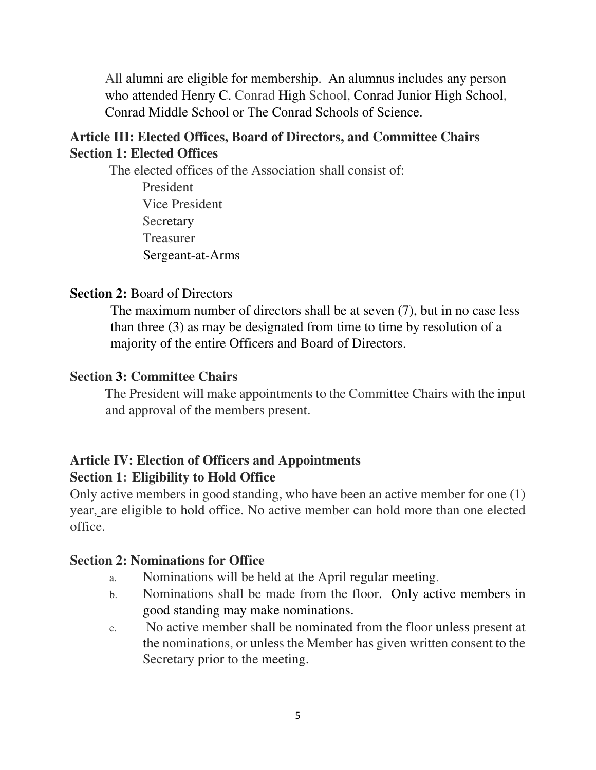All alumni are eligible for membership. An alumnus includes any person who attended Henry C. Conrad High School, Conrad Junior High School, Conrad Middle School or The Conrad Schools of Science.

# **Article III: Elected Offices, Board of Directors, and Committee Chairs Section 1: Elected Offices**

The elected offices of the Association shall consist of:

President Vice President **Secretary** Treasurer Sergeant-at-Arms

## **Section 2:** Board of Directors

The maximum number of directors shall be at seven (7), but in no case less than three (3) as may be designated from time to time by resolution of a majority of the entire Officers and Board of Directors.

### **Section 3: Committee Chairs**

The President will make appointments to the Committee Chairs with the input and approval of the members present.

# **Article IV: Election of Officers and Appointments Section 1: Eligibility to Hold Office**

Only active members in good standing, who have been an active member for one (1) year, are eligible to hold office. No active member can hold more than one elected office.

#### **Section 2: Nominations for Office**

- a. Nominations will be held at the April regular meeting.
- b. Nominations shall be made from the floor. Only active members in good standing may make nominations.
- c. No active member shall be nominated from the floor unless present at the nominations, or unless the Member has given written consent to the Secretary prior to the meeting.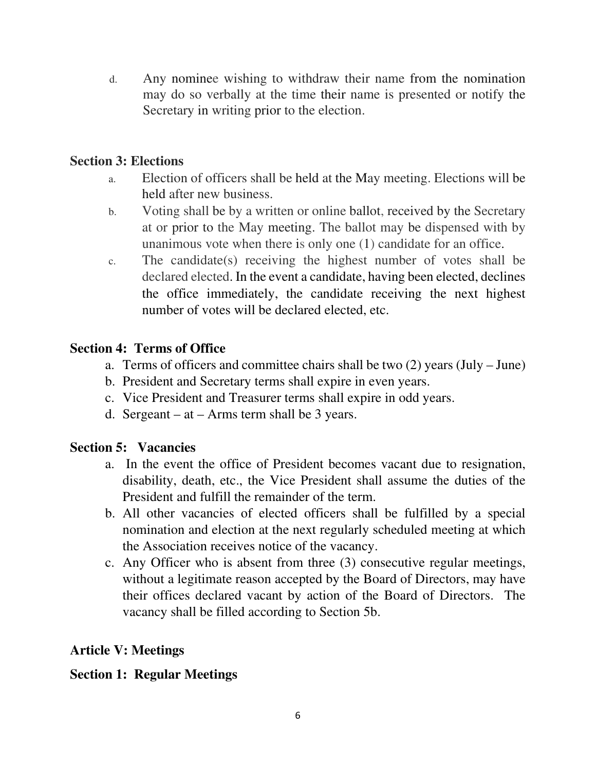d. Any nominee wishing to withdraw their name from the nomination may do so verbally at the time their name is presented or notify the Secretary in writing prior to the election.

# **Section 3: Elections**

- a. Election of officers shall be held at the May meeting. Elections will be held after new business.
- b. Voting shall be by a written or online ballot, received by the Secretary at or prior to the May meeting. The ballot may be dispensed with by unanimous vote when there is only one (1) candidate for an office.
- c. The candidate(s) receiving the highest number of votes shall be declared elected. In the event a candidate, having been elected, declines the office immediately, the candidate receiving the next highest number of votes will be declared elected, etc.

# **Section 4: Terms of Office**

- a. Terms of officers and committee chairs shall be two (2) years (July June)
- b. President and Secretary terms shall expire in even years.
- c. Vice President and Treasurer terms shall expire in odd years.
- d. Sergeant at Arms term shall be 3 years.

# **Section 5: Vacancies**

- a. In the event the office of President becomes vacant due to resignation, disability, death, etc., the Vice President shall assume the duties of the President and fulfill the remainder of the term.
- b. All other vacancies of elected officers shall be fulfilled by a special nomination and election at the next regularly scheduled meeting at which the Association receives notice of the vacancy.
- c. Any Officer who is absent from three (3) consecutive regular meetings, without a legitimate reason accepted by the Board of Directors, may have their offices declared vacant by action of the Board of Directors. The vacancy shall be filled according to Section 5b.

# **Article V: Meetings**

# **Section 1: Regular Meetings**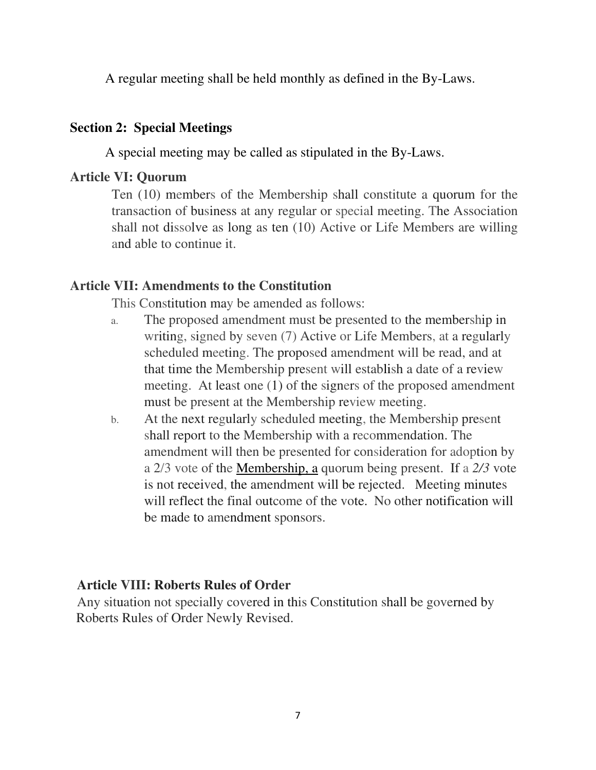A regular meeting shall be held monthly as defined in the By-Laws.

## **Section 2: Special Meetings**

A special meeting may be called as stipulated in the By-Laws.

## **Article VI: Quorum**

Ten (10) members of the Membership shall constitute a quorum for the transaction of business at any regular or special meeting. The Association shall not dissolve as long as ten (10) Active or Life Members are willing and able to continue it.

# **Article VII: Amendments to the Constitution**

This Constitution may be amended as follows:

- a. The proposed amendment must be presented to the membership in writing, signed by seven (7) Active or Life Members, at a regularly scheduled meeting. The proposed amendment will be read, and at that time the Membership present will establish a date of a review meeting. At least one (1) of the signers of the proposed amendment must be present at the Membership review meeting.
- b. At the next regularly scheduled meeting, the Membership present shall report to the Membership with a recommendation. The amendment will then be presented for consideration for adoption by a 2/3 vote of the Membership, a quorum being present. If a *2/3* vote is not received, the amendment will be rejected. Meeting minutes will reflect the final outcome of the vote. No other notification will be made to amendment sponsors.

## **Article VIII: Roberts Rules of Order**

Any situation not specially covered in this Constitution shall be governed by Roberts Rules of Order Newly Revised.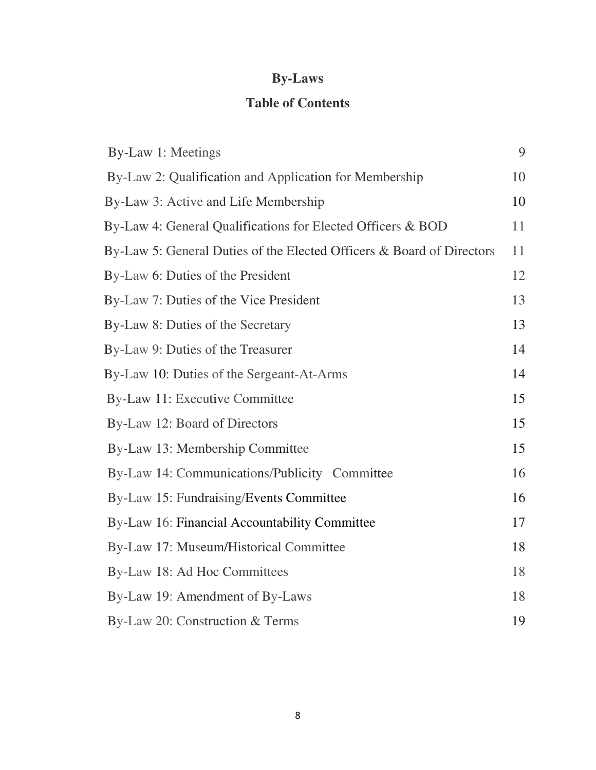# **By-Laws**

# **Table of Contents**

| By-Law 1: Meetings                                                    | 9  |
|-----------------------------------------------------------------------|----|
| By-Law 2: Qualification and Application for Membership                | 10 |
| By-Law 3: Active and Life Membership                                  | 10 |
| By-Law 4: General Qualifications for Elected Officers & BOD           | 11 |
| By-Law 5: General Duties of the Elected Officers & Board of Directors | 11 |
| By-Law 6: Duties of the President                                     | 12 |
| By-Law 7: Duties of the Vice President                                | 13 |
| By-Law 8: Duties of the Secretary                                     | 13 |
| By-Law 9: Duties of the Treasurer                                     | 14 |
| By-Law 10: Duties of the Sergeant-At-Arms                             | 14 |
| By-Law 11: Executive Committee                                        | 15 |
| By-Law 12: Board of Directors                                         | 15 |
| By-Law 13: Membership Committee                                       | 15 |
| By-Law 14: Communications/Publicity Committee                         | 16 |
| By-Law 15: Fundraising/Events Committee                               | 16 |
| By-Law 16: Financial Accountability Committee                         | 17 |
| By-Law 17: Museum/Historical Committee                                | 18 |
| By-Law 18: Ad Hoc Committees                                          | 18 |
| By-Law 19: Amendment of By-Laws                                       | 18 |
| By-Law 20: Construction & Terms                                       | 19 |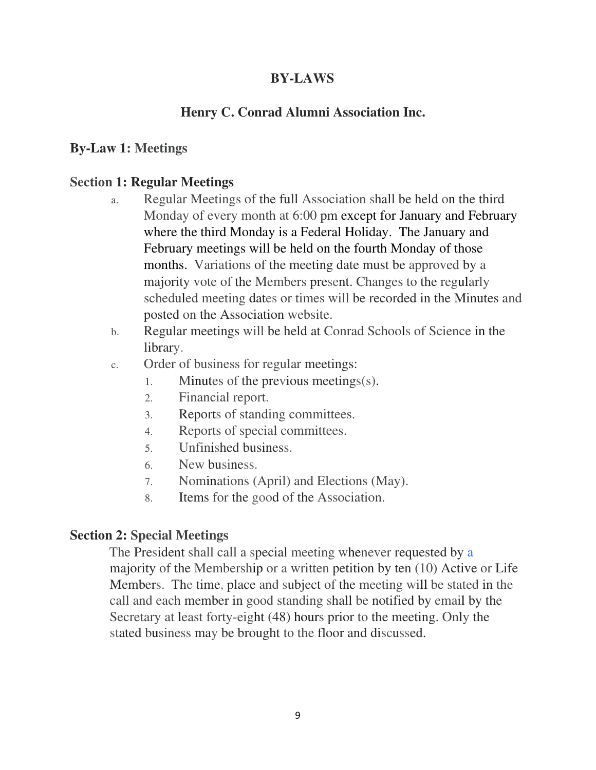# **BY-LAWS**

# **Henry C. Conrad Alumni Association Inc.**

# **By-Law 1: Meetings**

### **Section 1: Regular Meetings**

- a. Regular Meetings of the full Association shall be held on the third Monday of every month at 6:00 pm except for January and February where the third Monday is a Federal Holiday. The January and February meetings will be held on the fourth Monday of those months. Variations of the meeting date must be approved by a majority vote of the Members present. Changes to the regularly scheduled meeting dates or times will be recorded in the Minutes and posted on the Association website.
- b. Regular meetings will be held at Conrad Schools of Science in the library.
- c. Order of business for regular meetings:
	- 1. Minutes of the previous meetings(s).
	- 2. Financial report.
	- 3. Reports of standing committees.
	- 4. Reports of special committees.
	- 5. Unfinished business.
	- 6. New business.
	- 7. Nominations (April) and Elections (May).
	- 8. Items for the good of the Association.

#### **Section 2: Special Meetings**

The President shall call a special meeting whenever requested by a majority of the Membership or a written petition by ten (10) Active or Life Members. The time, place and subject of the meeting will be stated in the call and each member in good standing shall be notified by email by the Secretary at least forty-eight (48) hours prior to the meeting. Only the stated business may be brought to the floor and discussed.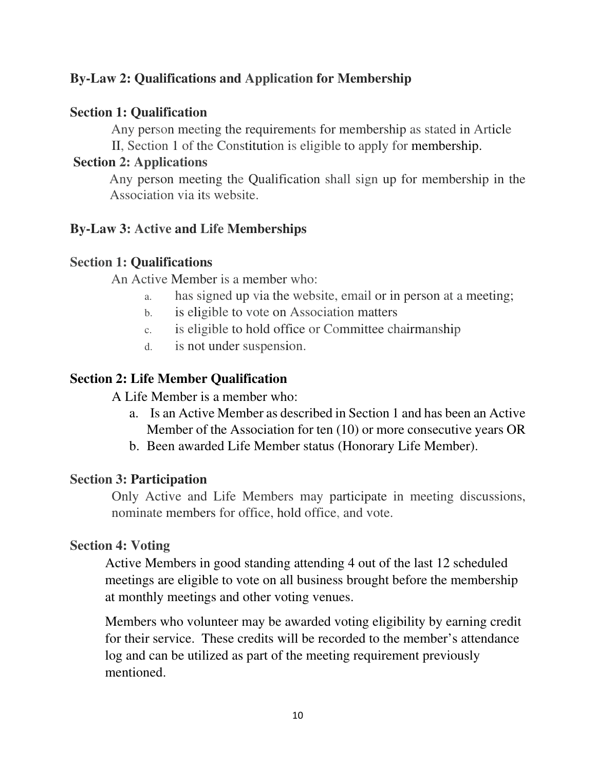# **By-Law 2: Qualifications and Application for Membership**

### **Section 1: Qualification**

Any person meeting the requirements for membership as stated in Article II, Section 1 of the Constitution is eligible to apply for membership.

## **Section 2: Applications**

Any person meeting the Qualification shall sign up for membership in the Association via its website.

# **By-Law 3: Active and Life Memberships**

## **Section 1: Qualifications**

An Active Member is a member who:

- a. has signed up via the website, email or in person at a meeting;
- b. is eligible to vote on Association matters
- c. is eligible to hold office or Committee chairmanship
- d. is not under suspension.

# **Section 2: Life Member Qualification**

A Life Member is a member who:

- a. Is an Active Member as described in Section 1 and has been an Active Member of the Association for ten (10) or more consecutive years OR
- b. Been awarded Life Member status (Honorary Life Member).

## **Section 3: Participation**

Only Active and Life Members may participate in meeting discussions, nominate members for office, hold office, and vote.

## **Section 4: Voting**

Active Members in good standing attending 4 out of the last 12 scheduled meetings are eligible to vote on all business brought before the membership at monthly meetings and other voting venues.

Members who volunteer may be awarded voting eligibility by earning credit for their service. These credits will be recorded to the member's attendance log and can be utilized as part of the meeting requirement previously mentioned.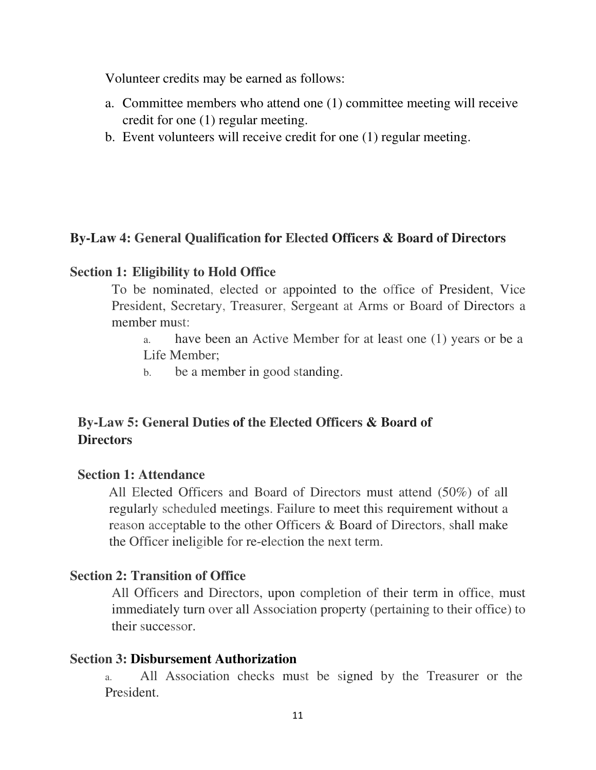Volunteer credits may be earned as follows:

- a. Committee members who attend one (1) committee meeting will receive credit for one (1) regular meeting.
- b. Event volunteers will receive credit for one (1) regular meeting.

# **By-Law 4: General Qualification for Elected Officers & Board of Directors**

### **Section 1: Eligibility to Hold Office**

To be nominated, elected or appointed to the office of President, Vice President, Secretary, Treasurer, Sergeant at Arms or Board of Directors a member must:

a. have been an Active Member for at least one (1) years or be a Life Member;

b. be a member in good standing.

# **By-Law 5: General Duties of the Elected Officers & Board of Directors**

## **Section 1: Attendance**

All Elected Officers and Board of Directors must attend (50%) of all regularly scheduled meetings. Failure to meet this requirement without a reason acceptable to the other Officers & Board of Directors, shall make the Officer ineligible for re-election the next term.

## **Section 2: Transition of Office**

All Officers and Directors, upon completion of their term in office, must immediately turn over all Association property (pertaining to their office) to their successor.

#### **Section 3: Disbursement Authorization**

a. All Association checks must be signed by the Treasurer or the President.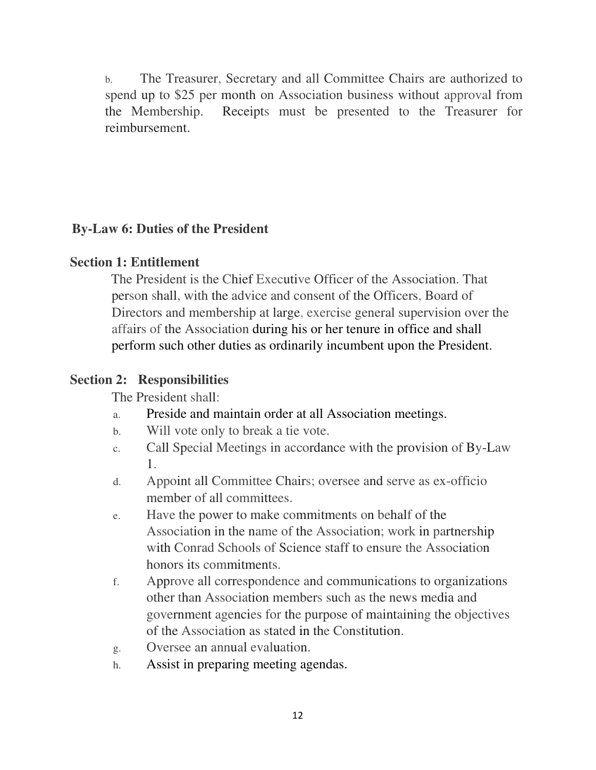b. The Treasurer, Secretary and all Committee Chairs are authorized to spend up to \$25 per month on Association business without approval from the Membership. Receipts must be presented to the Treasurer for reimbursement.

# **By-Law 6: Duties of the President**

# **Section 1: Entitlement**

The President is the Chief Executive Officer of the Association. That person shall, with the advice and consent of the Officers, Board of Directors and membership at large, exercise general supervision over the affairs of the Association during his or her tenure in office and shall perform such other duties as ordinarily incumbent upon the President.

# **Section 2: Responsibilities**

The President shall:

- a. Preside and maintain order at all Association meetings.
- b. Will vote only to break a tie vote.
- c. Call Special Meetings in accordance with the provision of By-Law 1.
- d. Appoint all Committee Chairs; oversee and serve as ex-officio member of all committees.
- e. Have the power to make commitments on behalf of the Association in the name of the Association; work in partnership with Conrad Schools of Science staff to ensure the Association honors its commitments.
- f. Approve all correspondence and communications to organizations other than Association members such as the news media and government agencies for the purpose of maintaining the objectives of the Association as stated in the Constitution.
- g. Oversee an annual evaluation.
- h. Assist in preparing meeting agendas.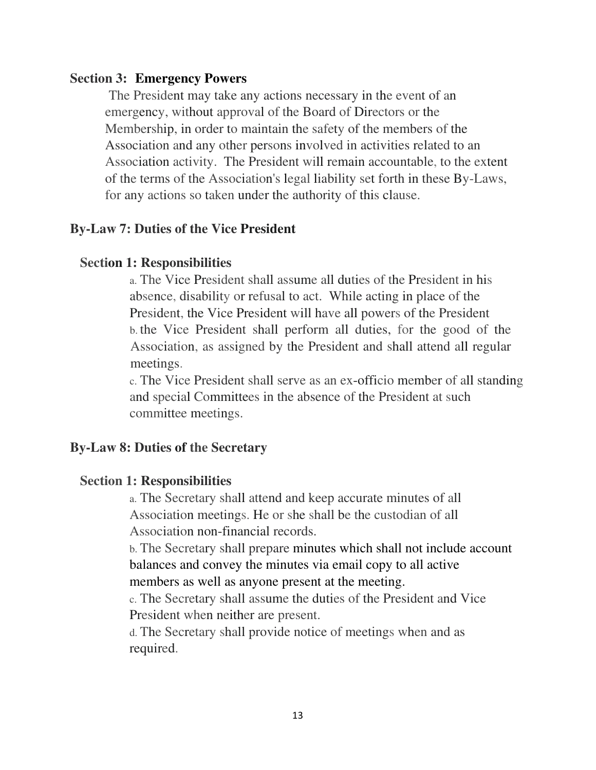#### **Section 3: Emergency Powers**

The President may take any actions necessary in the event of an emergency, without approval of the Board of Directors or the Membership, in order to maintain the safety of the members of the Association and any other persons involved in activities related to an Association activity. The President will remain accountable, to the extent of the terms of the Association's legal liability set forth in these By-Laws, for any actions so taken under the authority of this clause.

## **By-Law 7: Duties of the Vice President**

## **Section 1: Responsibilities**

a. The Vice President shall assume all duties of the President in his absence, disability or refusal to act. While acting in place of the President, the Vice President will have all powers of the President b. the Vice President shall perform all duties, for the good of the Association, as assigned by the President and shall attend all regular meetings.

c. The Vice President shall serve as an ex-officio member of all standing and special Committees in the absence of the President at such committee meetings.

## **By-Law 8: Duties of the Secretary**

#### **Section 1: Responsibilities**

a. The Secretary shall attend and keep accurate minutes of all Association meetings. He or she shall be the custodian of all Association non-financial records.

b. The Secretary shall prepare minutes which shall not include account balances and convey the minutes via email copy to all active members as well as anyone present at the meeting.

c. The Secretary shall assume the duties of the President and Vice President when neither are present.

d. The Secretary shall provide notice of meetings when and as required.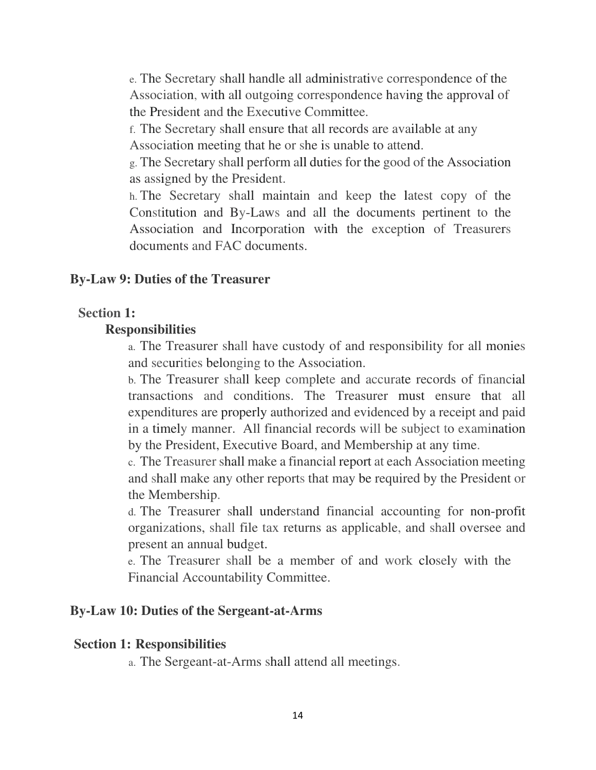e. The Secretary shall handle all administrative correspondence of the Association, with all outgoing correspondence having the approval of the President and the Executive Committee.

f. The Secretary shall ensure that all records are available at any Association meeting that he or she is unable to attend.

g. The Secretary shall perform all duties for the good of the Association as assigned by the President.

h. The Secretary shall maintain and keep the latest copy of the Constitution and By-Laws and all the documents pertinent to the Association and Incorporation with the exception of Treasurers documents and FAC documents.

#### **By-Law 9: Duties of the Treasurer**

#### **Section 1:**

#### **Responsibilities**

a. The Treasurer shall have custody of and responsibility for all monies and securities belonging to the Association.

b. The Treasurer shall keep complete and accurate records of financial transactions and conditions. The Treasurer must ensure that all expenditures are properly authorized and evidenced by a receipt and paid in a timely manner. All financial records will be subject to examination by the President, Executive Board, and Membership at any time.

c. The Treasurer shall make a financial report at each Association meeting and shall make any other reports that may be required by the President or the Membership.

d. The Treasurer shall understand financial accounting for non-profit organizations, shall file tax returns as applicable, and shall oversee and present an annual budget.

e. The Treasurer shall be a member of and work closely with the Financial Accountability Committee.

#### **By-Law 10: Duties of the Sergeant-at-Arms**

#### **Section 1: Responsibilities**

a. The Sergeant-at-Arms shall attend all meetings.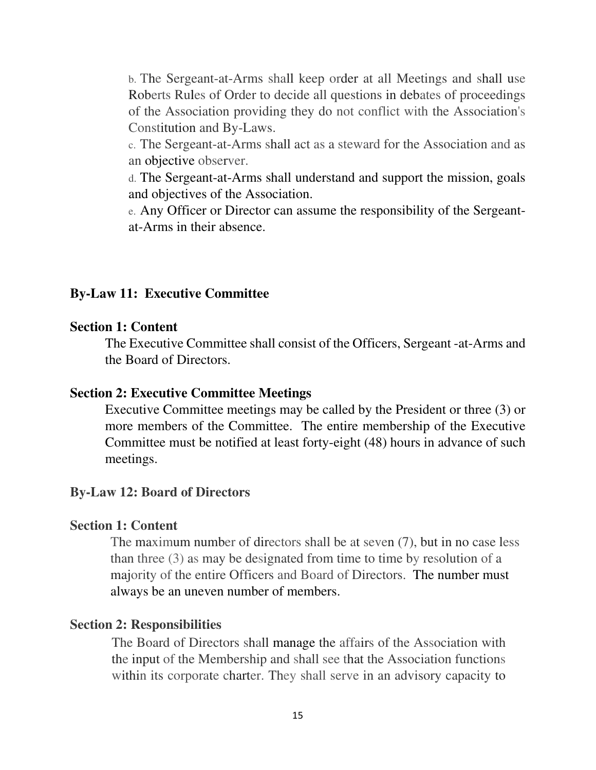b. The Sergeant-at-Arms shall keep order at all Meetings and shall use Roberts Rules of Order to decide all questions in debates of proceedings of the Association providing they do not conflict with the Association's Constitution and By-Laws.

c. The Sergeant-at-Arms shall act as a steward for the Association and as an objective observer.

d. The Sergeant-at-Arms shall understand and support the mission, goals and objectives of the Association.

e. Any Officer or Director can assume the responsibility of the Sergeantat-Arms in their absence.

#### **By-Law 11: Executive Committee**

#### **Section 1: Content**

The Executive Committee shall consist of the Officers, Sergeant -at-Arms and the Board of Directors.

#### **Section 2: Executive Committee Meetings**

Executive Committee meetings may be called by the President or three (3) or more members of the Committee. The entire membership of the Executive Committee must be notified at least forty-eight (48) hours in advance of such meetings.

#### **By-Law 12: Board of Directors**

#### **Section 1: Content**

The maximum number of directors shall be at seven (7), but in no case less than three (3) as may be designated from time to time by resolution of a majority of the entire Officers and Board of Directors. The number must always be an uneven number of members.

#### **Section 2: Responsibilities**

The Board of Directors shall manage the affairs of the Association with the input of the Membership and shall see that the Association functions within its corporate charter. They shall serve in an advisory capacity to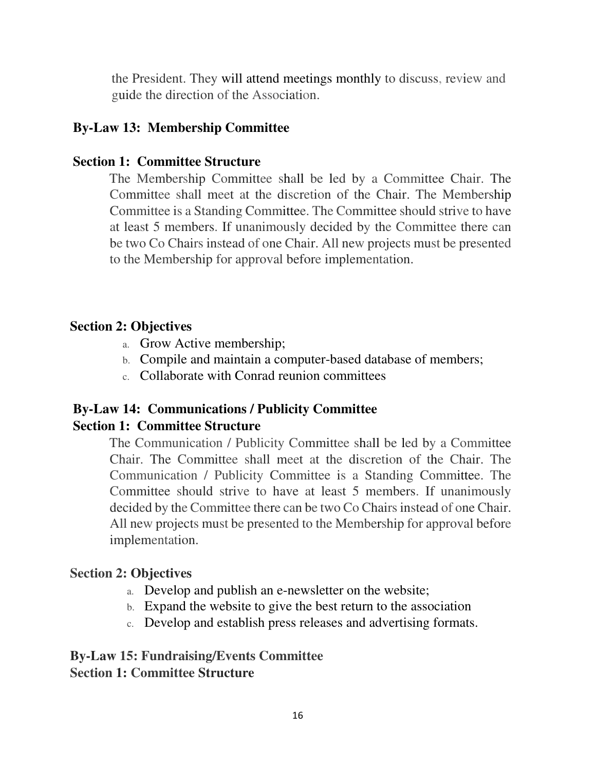the President. They will attend meetings monthly to discuss, review and guide the direction of the Association.

# **By-Law 13: Membership Committee**

### **Section 1: Committee Structure**

The Membership Committee shall be led by a Committee Chair. The Committee shall meet at the discretion of the Chair. The Membership Committee is a Standing Committee. The Committee should strive to have at least 5 members. If unanimously decided by the Committee there can be two Co Chairs instead of one Chair. All new projects must be presented to the Membership for approval before implementation.

## **Section 2: Objectives**

- a. Grow Active membership;
- b. Compile and maintain a computer-based database of members;
- c. Collaborate with Conrad reunion committees

# **By-Law 14: Communications / Publicity Committee**

## **Section 1: Committee Structure**

The Communication / Publicity Committee shall be led by a Committee Chair. The Committee shall meet at the discretion of the Chair. The Communication / Publicity Committee is a Standing Committee. The Committee should strive to have at least 5 members. If unanimously decided by the Committee there can be two Co Chairs instead of one Chair. All new projects must be presented to the Membership for approval before implementation.

#### **Section 2: Objectives**

- a. Develop and publish an e-newsletter on the website;
- b. Expand the website to give the best return to the association
- c. Develop and establish press releases and advertising formats.

### **By-Law 15: Fundraising/Events Committee Section 1: Committee Structure**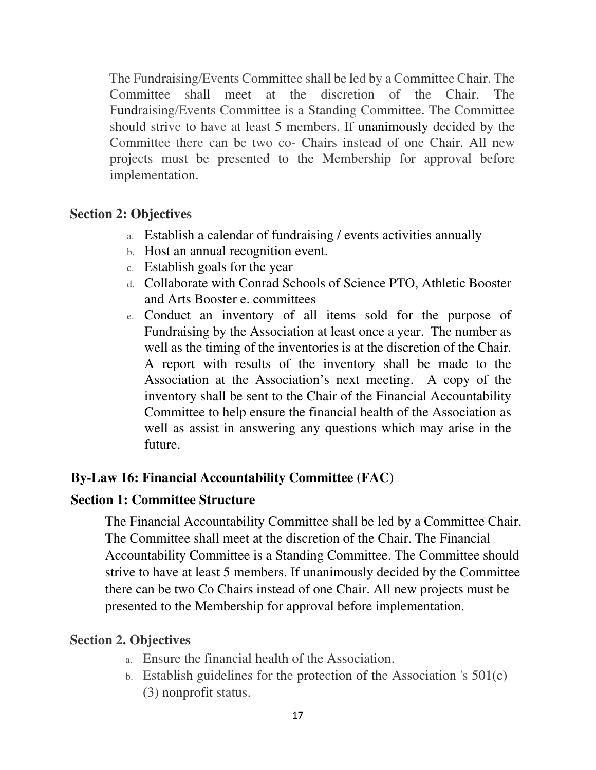The Fundraising/Events Committee shall be led by a Committee Chair. The Committee shall meet at the discretion of the Chair. The Fundraising/Events Committee is a Standing Committee. The Committee should strive to have at least 5 members. If unanimously decided by the Committee there can be two co- Chairs instead of one Chair. All new projects must be presented to the Membership for approval before implementation.

# **Section 2: Objectives**

- a. Establish a calendar of fundraising / events activities annually
- b. Host an annual recognition event.
- c. Establish goals for the year
- d. Collaborate with Conrad Schools of Science PTO, Athletic Booster and Arts Booster e. committees
- e. Conduct an inventory of all items sold for the purpose of Fundraising by the Association at least once a year. The number as well as the timing of the inventories is at the discretion of the Chair. A report with results of the inventory shall be made to the Association at the Association's next meeting. A copy of the inventory shall be sent to the Chair of the Financial Accountability Committee to help ensure the financial health of the Association as well as assist in answering any questions which may arise in the future.

# **By-Law 16: Financial Accountability Committee (FAC)**

# **Section 1: Committee Structure**

The Financial Accountability Committee shall be led by a Committee Chair. The Committee shall meet at the discretion of the Chair. The Financial Accountability Committee is a Standing Committee. The Committee should strive to have at least 5 members. If unanimously decided by the Committee there can be two Co Chairs instead of one Chair. All new projects must be presented to the Membership for approval before implementation.

# **Section 2. Objectives**

- a. Ensure the financial health of the Association.
- b. Establish guidelines for the protection of the Association 's 501(c) (3) nonprofit status.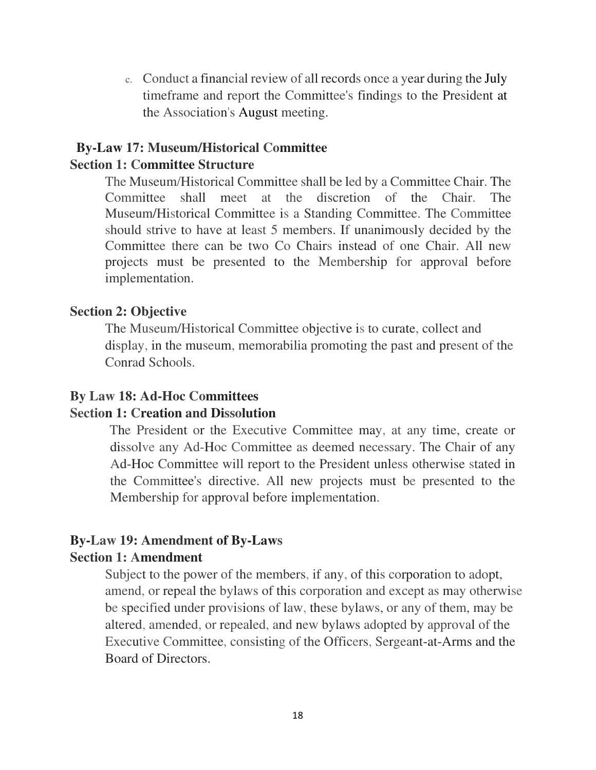c. Conduct a financial review of all records once a year during the July timeframe and report the Committee's findings to the President at the Association's August meeting.

# **By-Law 17: Museum/Historical Committee**

#### **Section 1: Committee Structure**

The Museum/Historical Committee shall be led by a Committee Chair. The Committee shall meet at the discretion of the Chair. The Museum/Historical Committee is a Standing Committee. The Committee should strive to have at least 5 members. If unanimously decided by the Committee there can be two Co Chairs instead of one Chair. All new projects must be presented to the Membership for approval before implementation.

#### **Section 2: Objective**

The Museum/Historical Committee objective is to curate, collect and display, in the museum, memorabilia promoting the past and present of the Conrad Schools.

#### **By Law 18: Ad-Hoc Committees**

#### **Section 1: Creation and Dissolution**

The President or the Executive Committee may, at any time, create or dissolve any Ad-Hoc Committee as deemed necessary. The Chair of any Ad-Hoc Committee will report to the President unless otherwise stated in the Committee's directive. All new projects must be presented to the Membership for approval before implementation.

# **By-Law 19: Amendment of By-Laws**

# **Section 1: Amendment**

Subject to the power of the members, if any, of this corporation to adopt, amend, or repeal the bylaws of this corporation and except as may otherwise be specified under provisions of law, these bylaws, or any of them, may be altered, amended, or repealed, and new bylaws adopted by approval of the Executive Committee, consisting of the Officers, Sergeant-at-Arms and the Board of Directors.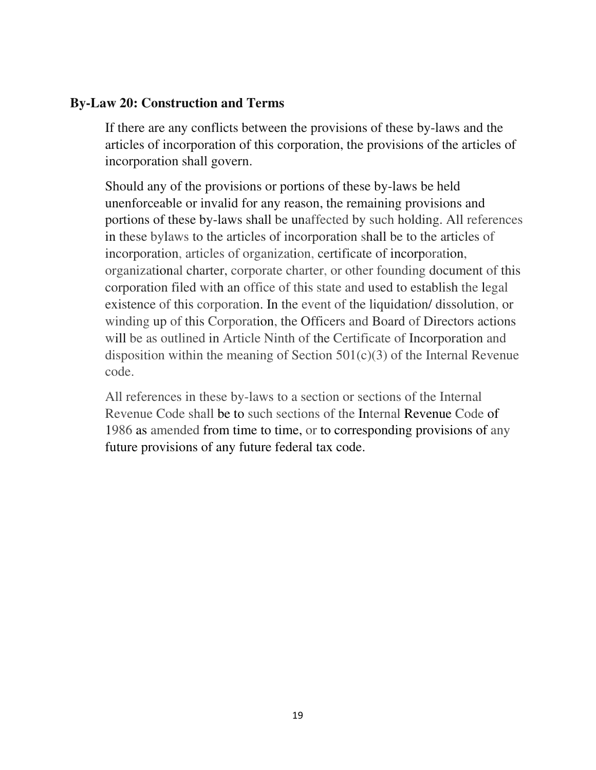## **By-Law 20: Construction and Terms**

If there are any conflicts between the provisions of these by-laws and the articles of incorporation of this corporation, the provisions of the articles of incorporation shall govern.

Should any of the provisions or portions of these by-laws be held unenforceable or invalid for any reason, the remaining provisions and portions of these by-laws shall be unaffected by such holding. All references in these bylaws to the articles of incorporation shall be to the articles of incorporation, articles of organization, certificate of incorporation, organizational charter, corporate charter, or other founding document of this corporation filed with an office of this state and used to establish the legal existence of this corporation. In the event of the liquidation/ dissolution, or winding up of this Corporation, the Officers and Board of Directors actions will be as outlined in Article Ninth of the Certificate of Incorporation and disposition within the meaning of Section  $501(c)(3)$  of the Internal Revenue code.

All references in these by-laws to a section or sections of the Internal Revenue Code shall be to such sections of the Internal Revenue Code of 1986 as amended from time to time, or to corresponding provisions of any future provisions of any future federal tax code.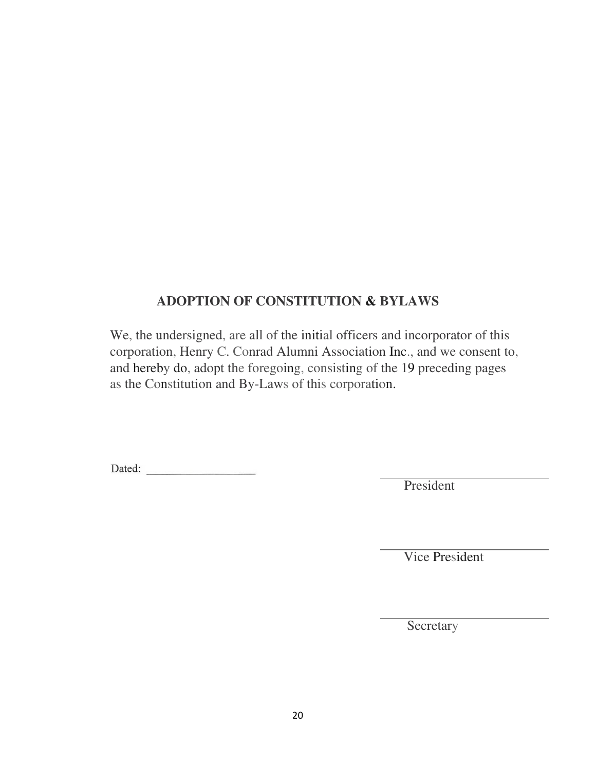# **ADOPTION OF CONSTITUTION & BYLAWS**

We, the undersigned, are all of the initial officers and incorporator of this corporation, Henry C. Conrad Alumni Association Inc., and we consent to, and hereby do, adopt the foregoing, consisting of the 19 preceding pages as the Constitution and By-Laws of this corporation.

Dated:

President

Vice President

Secretary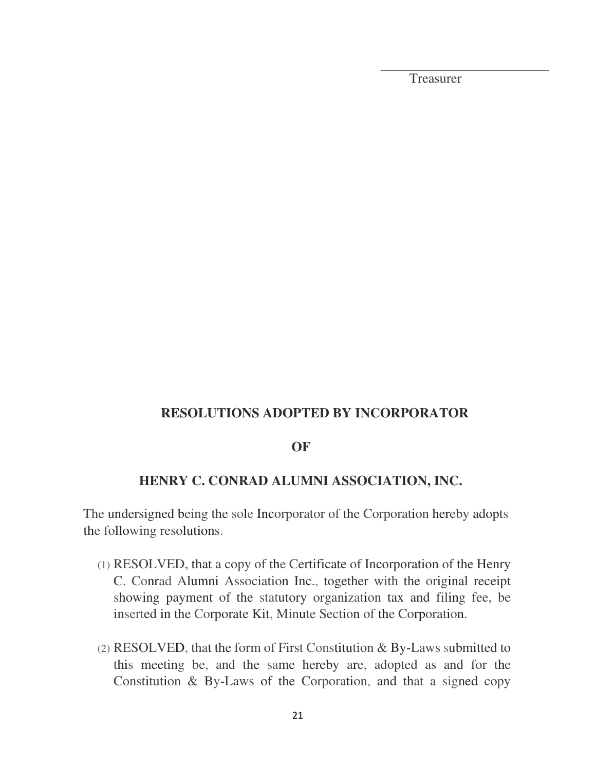Treasurer

## **RESOLUTIONS ADOPTED BY INCORPORATOR**

#### **OF**

# **HENRY C. CONRAD ALUMNI ASSOCIATION, INC.**

The undersigned being the sole Incorporator of the Corporation hereby adopts the following resolutions.

- (1) RESOLVED, that a copy of the Certificate of Incorporation of the Henry C. Conrad Alumni Association Inc., together with the original receipt showing payment of the statutory organization tax and filing fee, be inserted in the Corporate Kit, Minute Section of the Corporation.
- (2) RESOLVED, that the form of First Constitution & By-Laws submitted to this meeting be, and the same hereby are, adopted as and for the Constitution & By-Laws of the Corporation, and that a signed copy